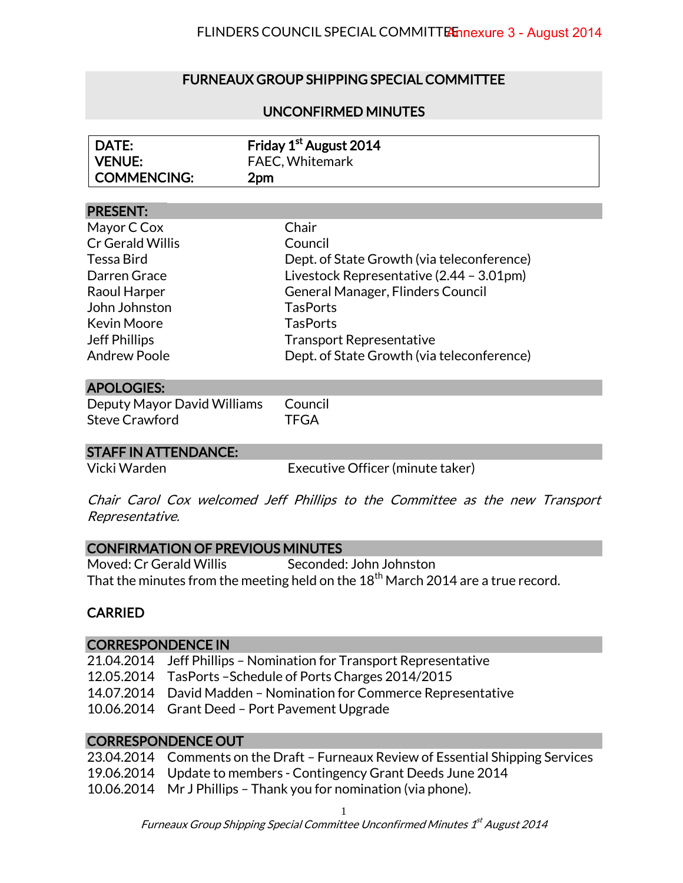# FURNEAUX GROUP SHIPPING SPECIAL COMMITTEE

# UNCONFIRMED MINUTES

| DATE:       | Friday 1 <sup>st</sup> August 2014 |
|-------------|------------------------------------|
| VENUE:      | <b>FAEC, Whitemark</b>             |
| COMMENCING: | 2pm                                |

#### PRESENT:

| Mayor C Cox          | Chair                                      |
|----------------------|--------------------------------------------|
| Cr Gerald Willis     | Council                                    |
| Tessa Bird           | Dept. of State Growth (via teleconference) |
| Darren Grace         | Livestock Representative (2.44 - 3.01pm)   |
| Raoul Harper         | General Manager, Flinders Council          |
| John Johnston        | <b>TasPorts</b>                            |
| <b>Kevin Moore</b>   | <b>TasPorts</b>                            |
| <b>Jeff Phillips</b> | <b>Transport Representative</b>            |
| <b>Andrew Poole</b>  | Dept. of State Growth (via teleconference) |

# APOLOGIES:

Deputy Mayor David Williams Council Steve Crawford TFGA

### STAFF IN ATTENDANCE:

Vicki Warden Executive Officer (minute taker)

Chair Carol Cox welcomed Jeff Phillips to the Committee as the new Transport Representative.

#### CONFIRMATION OF PREVIOUS MINUTES

Moved: Cr Gerald Willis Seconded: John Johnston That the minutes from the meeting held on the  $18<sup>th</sup>$  March 2014 are a true record.

## CARRIED

#### CORRESPONDENCE IN

21.04.2014 Jeff Phillips – Nomination for Transport Representative 12.05.2014 TasPorts –Schedule of Ports Charges 2014/2015 14.07.2014 David Madden – Nomination for Commerce Representative 10.06.2014 Grant Deed – Port Pavement Upgrade

### CORRESPONDENCE OUT

| 23.04.2014 Comments on the Draft - Furneaux Review of Essential Shipping Services |
|-----------------------------------------------------------------------------------|
| 19.06.2014 Update to members - Contingency Grant Deeds June 2014                  |
| 10.06.2014 Mr J Phillips - Thank you for nomination (via phone).                  |

1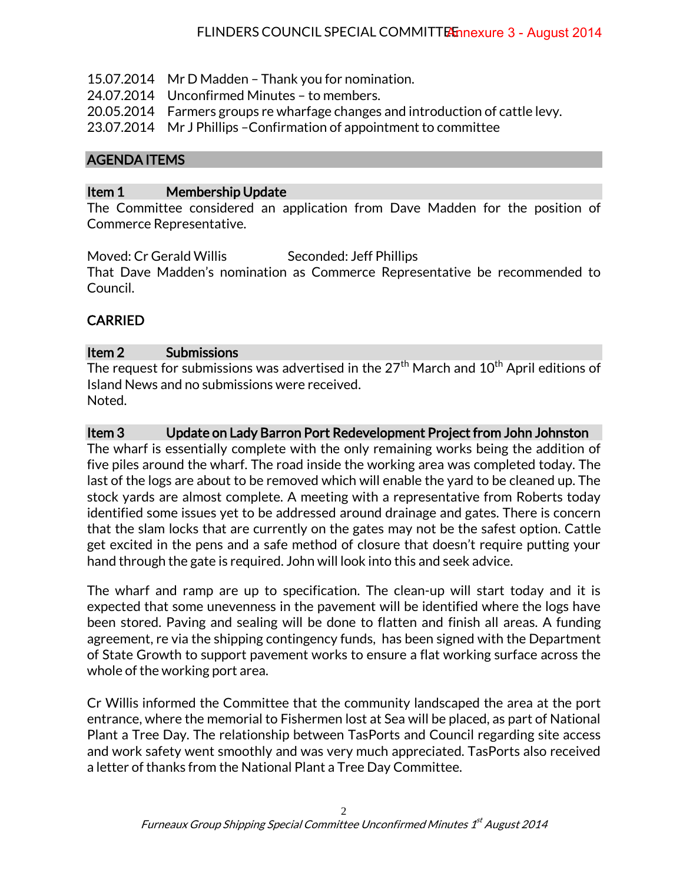- 15.07.2014 Mr D Madden Thank you for nomination.
- 24.07.2014 Unconfirmed Minutes to members.
- 20.05.2014 Farmers groups re wharfage changes and introduction of cattle levy.
- 23.07.2014 Mr J Phillips –Confirmation of appointment to committee

### AGENDA ITEMS

### Item 1 Membership Update

The Committee considered an application from Dave Madden for the position of Commerce Representative.

Moved: Cr Gerald Willis Seconded: Jeff Phillips That Dave Madden's nomination as Commerce Representative be recommended to Council.

## CARRIED

#### Item 2 Submissions

The request for submissions was advertised in the  $27<sup>th</sup>$  March and  $10<sup>th</sup>$  April editions of Island News and no submissions were received. Noted.

### Item 3 Update on Lady Barron Port Redevelopment Project from John Johnston

The wharf is essentially complete with the only remaining works being the addition of five piles around the wharf. The road inside the working area was completed today. The last of the logs are about to be removed which will enable the yard to be cleaned up. The stock yards are almost complete. A meeting with a representative from Roberts today identified some issues yet to be addressed around drainage and gates. There is concern that the slam locks that are currently on the gates may not be the safest option. Cattle get excited in the pens and a safe method of closure that doesn't require putting your hand through the gate is required. John will look into this and seek advice.

The wharf and ramp are up to specification. The clean-up will start today and it is expected that some unevenness in the pavement will be identified where the logs have been stored. Paving and sealing will be done to flatten and finish all areas. A funding agreement, re via the shipping contingency funds, has been signed with the Department of State Growth to support pavement works to ensure a flat working surface across the whole of the working port area.

Cr Willis informed the Committee that the community landscaped the area at the port entrance, where the memorial to Fishermen lost at Sea will be placed, as part of National Plant a Tree Day. The relationship between TasPorts and Council regarding site access and work safety went smoothly and was very much appreciated. TasPorts also received a letter of thanks from the National Plant a Tree Day Committee.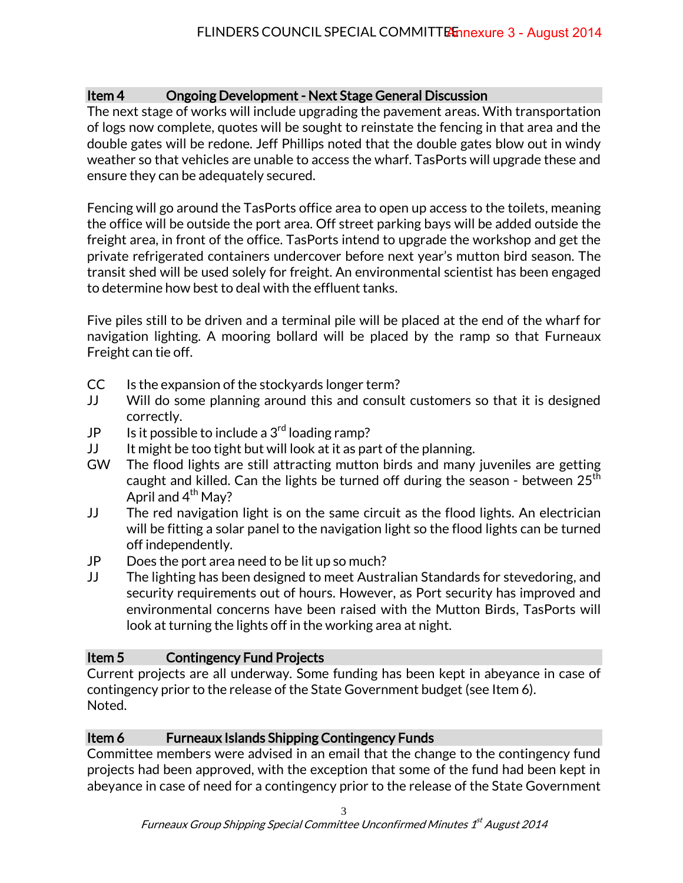# Item 4 Ongoing Development - Next Stage General Discussion

The next stage of works will include upgrading the pavement areas. With transportation of logs now complete, quotes will be sought to reinstate the fencing in that area and the double gates will be redone. Jeff Phillips noted that the double gates blow out in windy weather so that vehicles are unable to access the wharf. TasPorts will upgrade these and ensure they can be adequately secured.

Fencing will go around the TasPorts office area to open up access to the toilets, meaning the office will be outside the port area. Off street parking bays will be added outside the freight area, in front of the office. TasPorts intend to upgrade the workshop and get the private refrigerated containers undercover before next year's mutton bird season. The transit shed will be used solely for freight. An environmental scientist has been engaged to determine how best to deal with the effluent tanks.

Five piles still to be driven and a terminal pile will be placed at the end of the wharf for navigation lighting. A mooring bollard will be placed by the ramp so that Furneaux Freight can tie off.

- CC Is the expansion of the stockyards longer term?
- JJ Will do some planning around this and consult customers so that it is designed correctly.
- JP Is it possible to include a  $3<sup>rd</sup>$  loading ramp?
- JJ It might be too tight but will look at it as part of the planning.
- GW The flood lights are still attracting mutton birds and many juveniles are getting caught and killed. Can the lights be turned off during the season - between  $25<sup>th</sup>$ April and  $4^{th}$  May?
- JJ The red navigation light is on the same circuit as the flood lights. An electrician will be fitting a solar panel to the navigation light so the flood lights can be turned off independently.
- JP Does the port area need to be lit up so much?
- JJ The lighting has been designed to meet Australian Standards for stevedoring, and security requirements out of hours. However, as Port security has improved and environmental concerns have been raised with the Mutton Birds, TasPorts will look at turning the lights off in the working area at night.

# Item 5 Contingency Fund Projects

Current projects are all underway. Some funding has been kept in abeyance in case of contingency prior to the release of the State Government budget (see Item 6). Noted.

# Item 6 Furneaux Islands Shipping Contingency Funds

Committee members were advised in an email that the change to the contingency fund projects had been approved, with the exception that some of the fund had been kept in abeyance in case of need for a contingency prior to the release of the State Government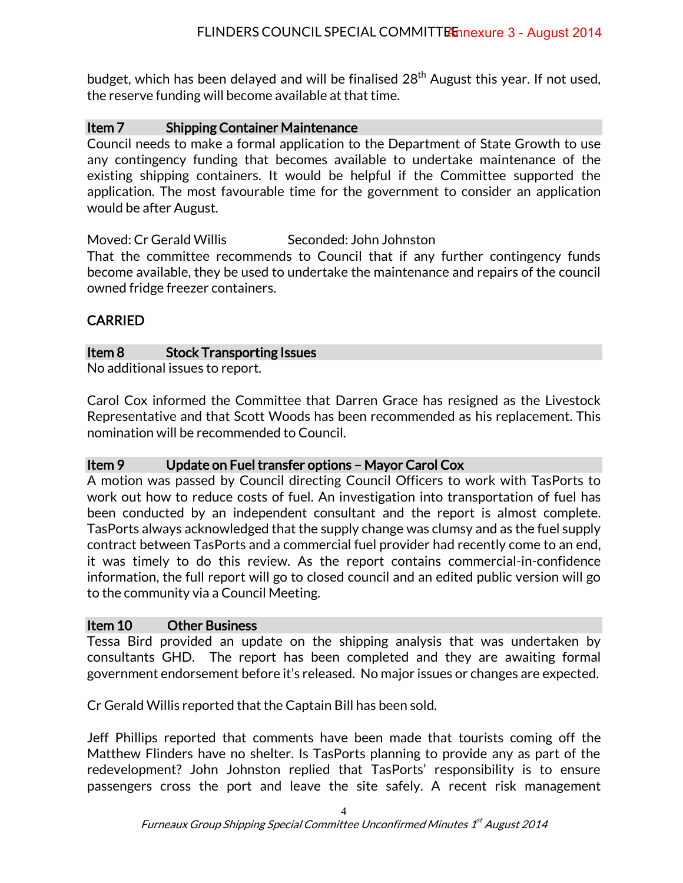budget, which has been delayed and will be finalised 28<sup>th</sup> August this year. If not used, the reserve funding will become available at that time.

# Item 7 Shipping Container Maintenance

Council needs to make a formal application to the Department of State Growth to use any contingency funding that becomes available to undertake maintenance of the existing shipping containers. It would be helpful if the Committee supported the application. The most favourable time for the government to consider an application would be after August.

Moved: Cr Gerald Willis Seconded: John Johnston

That the committee recommends to Council that if any further contingency funds become available, they be used to undertake the maintenance and repairs of the council owned fridge freezer containers.

# CARRIED

## Item 8 Stock Transporting Issues

No additional issues to report.

Carol Cox informed the Committee that Darren Grace has resigned as the Livestock Representative and that Scott Woods has been recommended as his replacement. This nomination will be recommended to Council.

## Item 9 Update on Fuel transfer options – Mayor Carol Cox

A motion was passed by Council directing Council Officers to work with TasPorts to work out how to reduce costs of fuel. An investigation into transportation of fuel has been conducted by an independent consultant and the report is almost complete. TasPorts always acknowledged that the supply change was clumsy and as the fuel supply contract between TasPorts and a commercial fuel provider had recently come to an end, it was timely to do this review. As the report contains commercial-in-confidence information, the full report will go to closed council and an edited public version will go to the community via a Council Meeting.

## Item 10 Other Business

Tessa Bird provided an update on the shipping analysis that was undertaken by consultants GHD. The report has been completed and they are awaiting formal government endorsement before it's released. No major issues or changes are expected.

Cr Gerald Willis reported that the Captain Bill has been sold.

Jeff Phillips reported that comments have been made that tourists coming off the Matthew Flinders have no shelter. Is TasPorts planning to provide any as part of the redevelopment? John Johnston replied that TasPorts' responsibility is to ensure passengers cross the port and leave the site safely. A recent risk management